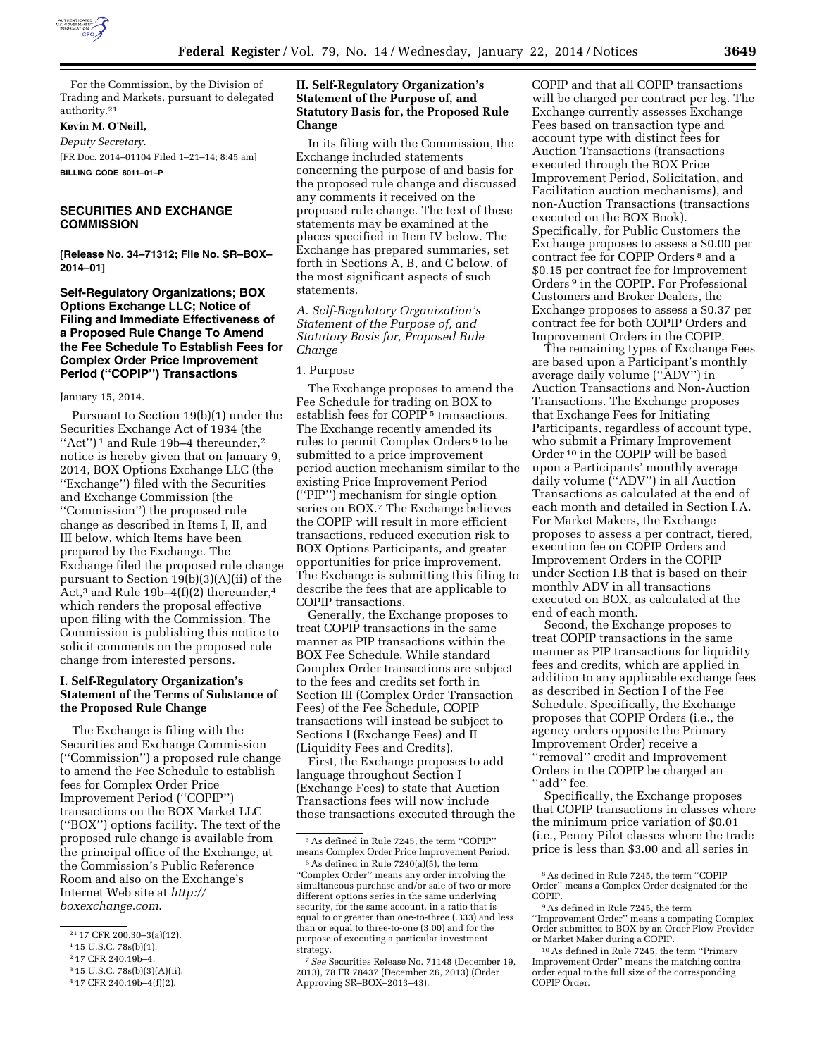

# For the Commission, by the Division of Trading and Markets, pursuant to delegated authority.21

# **Kevin M. O'Neill,**

*Deputy Secretary.* 

[FR Doc. 2014–01104 Filed 1–21–14; 8:45 am] **BILLING CODE 8011–01–P** 

## **SECURITIES AND EXCHANGE COMMISSION**

**[Release No. 34–71312; File No. SR–BOX– 2014–01]** 

# **Self-Regulatory Organizations; BOX Options Exchange LLC; Notice of Filing and Immediate Effectiveness of a Proposed Rule Change To Amend the Fee Schedule To Establish Fees for Complex Order Price Improvement Period (''COPIP'') Transactions**

#### January 15, 2014.

Pursuant to Section 19(b)(1) under the Securities Exchange Act of 1934 (the "Act")<sup>1</sup> and Rule 19b-4 thereunder,<sup>2</sup> notice is hereby given that on January 9, 2014, BOX Options Exchange LLC (the ''Exchange'') filed with the Securities and Exchange Commission (the ''Commission'') the proposed rule change as described in Items I, II, and III below, which Items have been prepared by the Exchange. The Exchange filed the proposed rule change pursuant to Section 19(b)(3)(A)(ii) of the Act,<sup>3</sup> and Rule 19b-4(f)(2) thereunder,<sup>4</sup> which renders the proposal effective upon filing with the Commission. The Commission is publishing this notice to solicit comments on the proposed rule change from interested persons.

# **I. Self-Regulatory Organization's Statement of the Terms of Substance of the Proposed Rule Change**

The Exchange is filing with the Securities and Exchange Commission (''Commission'') a proposed rule change to amend the Fee Schedule to establish fees for Complex Order Price Improvement Period (''COPIP'') transactions on the BOX Market LLC (''BOX'') options facility. The text of the proposed rule change is available from the principal office of the Exchange, at the Commission's Public Reference Room and also on the Exchange's Internet Web site at *[http://](http://boxexchange.com) [boxexchange.com](http://boxexchange.com)*.

2 17 CFR 240.19b–4.

## **II. Self-Regulatory Organization's Statement of the Purpose of, and Statutory Basis for, the Proposed Rule Change**

In its filing with the Commission, the Exchange included statements concerning the purpose of and basis for the proposed rule change and discussed any comments it received on the proposed rule change. The text of these statements may be examined at the places specified in Item IV below. The Exchange has prepared summaries, set forth in Sections A, B, and C below, of the most significant aspects of such statements.

*A. Self-Regulatory Organization's Statement of the Purpose of, and Statutory Basis for, Proposed Rule Change* 

#### 1. Purpose

The Exchange proposes to amend the Fee Schedule for trading on BOX to establish fees for COPIP 5 transactions. The Exchange recently amended its rules to permit Complex Orders 6 to be submitted to a price improvement period auction mechanism similar to the existing Price Improvement Period (''PIP'') mechanism for single option series on BOX.7 The Exchange believes the COPIP will result in more efficient transactions, reduced execution risk to BOX Options Participants, and greater opportunities for price improvement. The Exchange is submitting this filing to describe the fees that are applicable to COPIP transactions.

Generally, the Exchange proposes to treat COPIP transactions in the same manner as PIP transactions within the BOX Fee Schedule. While standard Complex Order transactions are subject to the fees and credits set forth in Section III (Complex Order Transaction Fees) of the Fee Schedule, COPIP transactions will instead be subject to Sections I (Exchange Fees) and II (Liquidity Fees and Credits).

First, the Exchange proposes to add language throughout Section I (Exchange Fees) to state that Auction Transactions fees will now include those transactions executed through the COPIP and that all COPIP transactions will be charged per contract per leg. The Exchange currently assesses Exchange Fees based on transaction type and account type with distinct fees for Auction Transactions (transactions executed through the BOX Price Improvement Period, Solicitation, and Facilitation auction mechanisms), and non-Auction Transactions (transactions executed on the BOX Book). Specifically, for Public Customers the Exchange proposes to assess a \$0.00 per contract fee for COPIP Orders 8 and a \$0.15 per contract fee for Improvement Orders 9 in the COPIP. For Professional Customers and Broker Dealers, the Exchange proposes to assess a \$0.37 per contract fee for both COPIP Orders and Improvement Orders in the COPIP.

The remaining types of Exchange Fees are based upon a Participant's monthly average daily volume (''ADV'') in Auction Transactions and Non-Auction Transactions. The Exchange proposes that Exchange Fees for Initiating Participants, regardless of account type, who submit a Primary Improvement Order 10 in the COPIP will be based upon a Participants' monthly average daily volume (''ADV'') in all Auction Transactions as calculated at the end of each month and detailed in Section I.A. For Market Makers, the Exchange proposes to assess a per contract, tiered, execution fee on COPIP Orders and Improvement Orders in the COPIP under Section I.B that is based on their monthly ADV in all transactions executed on BOX, as calculated at the end of each month.

Second, the Exchange proposes to treat COPIP transactions in the same manner as PIP transactions for liquidity fees and credits, which are applied in addition to any applicable exchange fees as described in Section I of the Fee Schedule. Specifically, the Exchange proposes that COPIP Orders (i.e., the agency orders opposite the Primary Improvement Order) receive a ''removal'' credit and Improvement Orders in the COPIP be charged an "add" fee.

Specifically, the Exchange proposes that COPIP transactions in classes where the minimum price variation of \$0.01 (i.e., Penny Pilot classes where the trade price is less than \$3.00 and all series in

<sup>21</sup> 17 CFR 200.30–3(a)(12).

<sup>1</sup> 15 U.S.C. 78s(b)(1).

<sup>3</sup> 15 U.S.C. 78s(b)(3)(A)(ii).

<sup>4</sup> 17 CFR 240.19b–4(f)(2).

<sup>5</sup>As defined in Rule 7245, the term ''COPIP'' means Complex Order Price Improvement Period.

<sup>6</sup>As defined in Rule 7240(a)(5), the term ''Complex Order'' means any order involving the simultaneous purchase and/or sale of two or more different options series in the same underlying security, for the same account, in a ratio that is equal to or greater than one-to-three (.333) and less than or equal to three-to-one (3.00) and for the purpose of executing a particular investment strategy.

<sup>7</sup>*See* Securities Release No. 71148 (December 19, 2013), 78 FR 78437 (December 26, 2013) (Order Approving SR–BOX–2013–43).

<sup>8</sup>As defined in Rule 7245, the term ''COPIP Order'' means a Complex Order designated for the COPIP.  $9$  As defined in Rule 7245, the term

<sup>&#</sup>x27;'Improvement Order'' means a competing Complex Order submitted to BOX by an Order Flow Provider or Market Maker during a COPIP.

<sup>10</sup>As defined in Rule 7245, the term ''Primary Improvement Order'' means the matching contra order equal to the full size of the corresponding COPIP Order.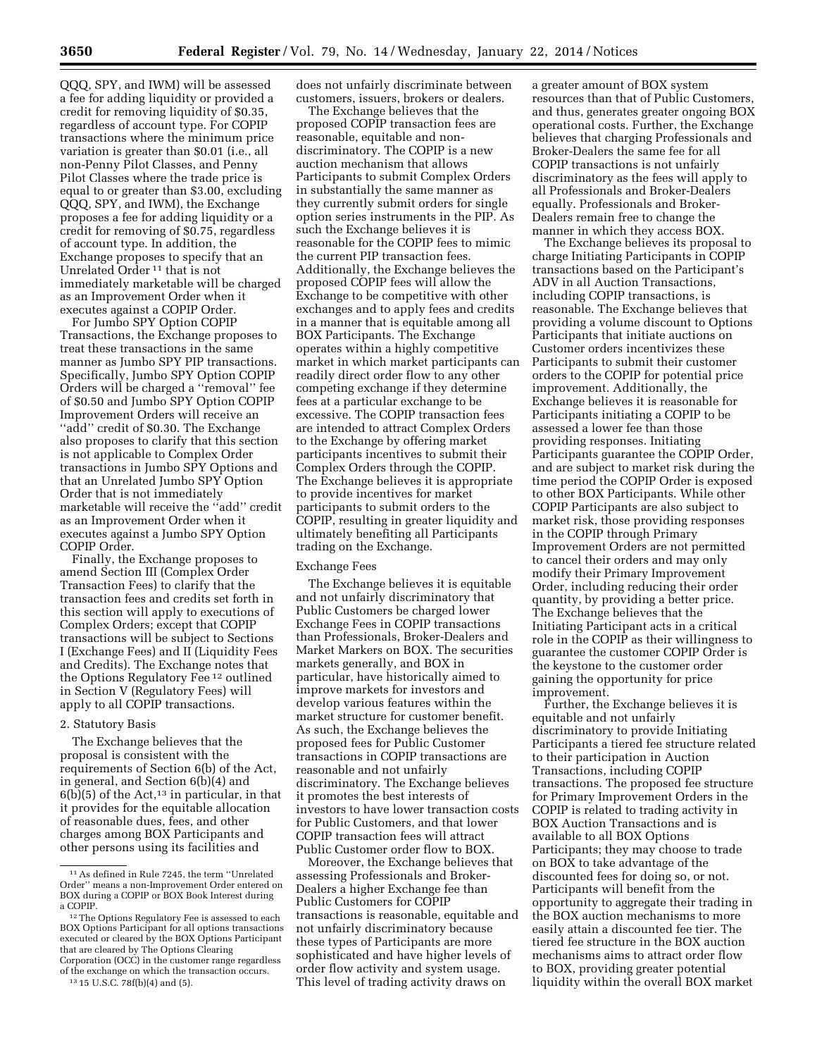QQQ, SPY, and IWM) will be assessed a fee for adding liquidity or provided a credit for removing liquidity of \$0.35, regardless of account type. For COPIP transactions where the minimum price variation is greater than \$0.01 (i.e., all non-Penny Pilot Classes, and Penny Pilot Classes where the trade price is equal to or greater than \$3.00, excluding QQQ, SPY, and IWM), the Exchange proposes a fee for adding liquidity or a credit for removing of \$0.75, regardless of account type. In addition, the Exchange proposes to specify that an Unrelated Order 11 that is not immediately marketable will be charged as an Improvement Order when it executes against a COPIP Order.

For Jumbo SPY Option COPIP Transactions, the Exchange proposes to treat these transactions in the same manner as Jumbo SPY PIP transactions. Specifically, Jumbo SPY Option COPIP Orders will be charged a ''removal'' fee of \$0.50 and Jumbo SPY Option COPIP Improvement Orders will receive an ''add'' credit of \$0.30. The Exchange also proposes to clarify that this section is not applicable to Complex Order transactions in Jumbo SPY Options and that an Unrelated Jumbo SPY Option Order that is not immediately marketable will receive the ''add'' credit as an Improvement Order when it executes against a Jumbo SPY Option COPIP Order.

Finally, the Exchange proposes to amend Section III (Complex Order Transaction Fees) to clarify that the transaction fees and credits set forth in this section will apply to executions of Complex Orders; except that COPIP transactions will be subject to Sections I (Exchange Fees) and II (Liquidity Fees and Credits). The Exchange notes that the Options Regulatory Fee 12 outlined in Section V (Regulatory Fees) will apply to all COPIP transactions.

### 2. Statutory Basis

The Exchange believes that the proposal is consistent with the requirements of Section 6(b) of the Act, in general, and Section 6(b)(4) and  $6(b)(5)$  of the Act,<sup>13</sup> in particular, in that it provides for the equitable allocation of reasonable dues, fees, and other charges among BOX Participants and other persons using its facilities and

does not unfairly discriminate between customers, issuers, brokers or dealers.

The Exchange believes that the proposed COPIP transaction fees are reasonable, equitable and nondiscriminatory. The COPIP is a new auction mechanism that allows Participants to submit Complex Orders in substantially the same manner as they currently submit orders for single option series instruments in the PIP. As such the Exchange believes it is reasonable for the COPIP fees to mimic the current PIP transaction fees. Additionally, the Exchange believes the proposed COPIP fees will allow the Exchange to be competitive with other exchanges and to apply fees and credits in a manner that is equitable among all BOX Participants. The Exchange operates within a highly competitive market in which market participants can readily direct order flow to any other competing exchange if they determine fees at a particular exchange to be excessive. The COPIP transaction fees are intended to attract Complex Orders to the Exchange by offering market participants incentives to submit their Complex Orders through the COPIP. The Exchange believes it is appropriate to provide incentives for market participants to submit orders to the COPIP, resulting in greater liquidity and ultimately benefiting all Participants trading on the Exchange.

#### Exchange Fees

The Exchange believes it is equitable and not unfairly discriminatory that Public Customers be charged lower Exchange Fees in COPIP transactions than Professionals, Broker-Dealers and Market Markers on BOX. The securities markets generally, and BOX in particular, have historically aimed to improve markets for investors and develop various features within the market structure for customer benefit. As such, the Exchange believes the proposed fees for Public Customer transactions in COPIP transactions are reasonable and not unfairly discriminatory. The Exchange believes it promotes the best interests of investors to have lower transaction costs for Public Customers, and that lower COPIP transaction fees will attract Public Customer order flow to BOX.

Moreover, the Exchange believes that assessing Professionals and Broker-Dealers a higher Exchange fee than Public Customers for COPIP transactions is reasonable, equitable and not unfairly discriminatory because these types of Participants are more sophisticated and have higher levels of order flow activity and system usage. This level of trading activity draws on

a greater amount of BOX system resources than that of Public Customers, and thus, generates greater ongoing BOX operational costs. Further, the Exchange believes that charging Professionals and Broker-Dealers the same fee for all COPIP transactions is not unfairly discriminatory as the fees will apply to all Professionals and Broker-Dealers equally. Professionals and Broker-Dealers remain free to change the manner in which they access BOX.

The Exchange believes its proposal to charge Initiating Participants in COPIP transactions based on the Participant's ADV in all Auction Transactions, including COPIP transactions, is reasonable. The Exchange believes that providing a volume discount to Options Participants that initiate auctions on Customer orders incentivizes these Participants to submit their customer orders to the COPIP for potential price improvement. Additionally, the Exchange believes it is reasonable for Participants initiating a COPIP to be assessed a lower fee than those providing responses. Initiating Participants guarantee the COPIP Order, and are subject to market risk during the time period the COPIP Order is exposed to other BOX Participants. While other COPIP Participants are also subject to market risk, those providing responses in the COPIP through Primary Improvement Orders are not permitted to cancel their orders and may only modify their Primary Improvement Order, including reducing their order quantity, by providing a better price. The Exchange believes that the Initiating Participant acts in a critical role in the COPIP as their willingness to guarantee the customer COPIP Order is the keystone to the customer order gaining the opportunity for price improvement.

Further, the Exchange believes it is equitable and not unfairly discriminatory to provide Initiating Participants a tiered fee structure related to their participation in Auction Transactions, including COPIP transactions. The proposed fee structure for Primary Improvement Orders in the COPIP is related to trading activity in BOX Auction Transactions and is available to all BOX Options Participants; they may choose to trade on BOX to take advantage of the discounted fees for doing so, or not. Participants will benefit from the opportunity to aggregate their trading in the BOX auction mechanisms to more easily attain a discounted fee tier. The tiered fee structure in the BOX auction mechanisms aims to attract order flow to BOX, providing greater potential liquidity within the overall BOX market

<sup>11</sup>As defined in Rule 7245, the term ''Unrelated Order'' means a non-Improvement Order entered on BOX during a COPIP or BOX Book Interest during a COPIP.

<sup>&</sup>lt;sup>12</sup> The Options Regulatory Fee is assessed to each BOX Options Participant for all options transactions executed or cleared by the BOX Options Participant that are cleared by The Options Clearing Corporation (OCC) in the customer range regardless of the exchange on which the transaction occurs.

<sup>13</sup> 15 U.S.C. 78f(b)(4) and (5).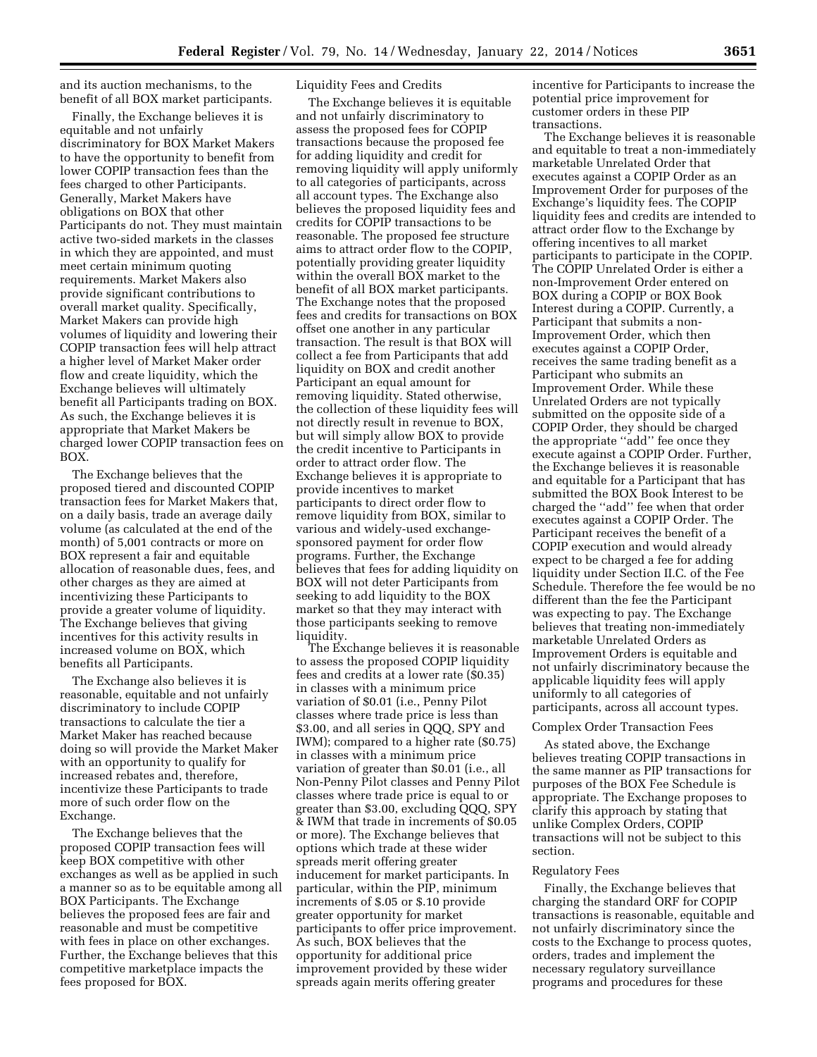and its auction mechanisms, to the benefit of all BOX market participants.

Finally, the Exchange believes it is equitable and not unfairly discriminatory for BOX Market Makers to have the opportunity to benefit from lower COPIP transaction fees than the fees charged to other Participants. Generally, Market Makers have obligations on BOX that other Participants do not. They must maintain active two-sided markets in the classes in which they are appointed, and must meet certain minimum quoting requirements. Market Makers also provide significant contributions to overall market quality. Specifically, Market Makers can provide high volumes of liquidity and lowering their COPIP transaction fees will help attract a higher level of Market Maker order flow and create liquidity, which the Exchange believes will ultimately benefit all Participants trading on BOX. As such, the Exchange believes it is appropriate that Market Makers be charged lower COPIP transaction fees on BOX.

The Exchange believes that the proposed tiered and discounted COPIP transaction fees for Market Makers that, on a daily basis, trade an average daily volume (as calculated at the end of the month) of 5,001 contracts or more on BOX represent a fair and equitable allocation of reasonable dues, fees, and other charges as they are aimed at incentivizing these Participants to provide a greater volume of liquidity. The Exchange believes that giving incentives for this activity results in increased volume on BOX, which benefits all Participants.

The Exchange also believes it is reasonable, equitable and not unfairly discriminatory to include COPIP transactions to calculate the tier a Market Maker has reached because doing so will provide the Market Maker with an opportunity to qualify for increased rebates and, therefore, incentivize these Participants to trade more of such order flow on the Exchange.

The Exchange believes that the proposed COPIP transaction fees will keep BOX competitive with other exchanges as well as be applied in such a manner so as to be equitable among all BOX Participants. The Exchange believes the proposed fees are fair and reasonable and must be competitive with fees in place on other exchanges. Further, the Exchange believes that this competitive marketplace impacts the fees proposed for BOX.

### Liquidity Fees and Credits

The Exchange believes it is equitable and not unfairly discriminatory to assess the proposed fees for COPIP transactions because the proposed fee for adding liquidity and credit for removing liquidity will apply uniformly to all categories of participants, across all account types. The Exchange also believes the proposed liquidity fees and credits for COPIP transactions to be reasonable. The proposed fee structure aims to attract order flow to the COPIP, potentially providing greater liquidity within the overall BOX market to the benefit of all BOX market participants. The Exchange notes that the proposed fees and credits for transactions on BOX offset one another in any particular transaction. The result is that BOX will collect a fee from Participants that add liquidity on BOX and credit another Participant an equal amount for removing liquidity. Stated otherwise, the collection of these liquidity fees will not directly result in revenue to BOX, but will simply allow BOX to provide the credit incentive to Participants in order to attract order flow. The Exchange believes it is appropriate to provide incentives to market participants to direct order flow to remove liquidity from BOX, similar to various and widely-used exchangesponsored payment for order flow programs. Further, the Exchange believes that fees for adding liquidity on BOX will not deter Participants from seeking to add liquidity to the BOX market so that they may interact with those participants seeking to remove liquidity.

The Exchange believes it is reasonable to assess the proposed COPIP liquidity fees and credits at a lower rate (\$0.35) in classes with a minimum price variation of \$0.01 (i.e., Penny Pilot classes where trade price is less than \$3.00, and all series in QQQ, SPY and IWM); compared to a higher rate (\$0.75) in classes with a minimum price variation of greater than \$0.01 (i.e., all Non-Penny Pilot classes and Penny Pilot classes where trade price is equal to or greater than \$3.00, excluding QQQ, SPY & IWM that trade in increments of \$0.05 or more). The Exchange believes that options which trade at these wider spreads merit offering greater inducement for market participants. In particular, within the PIP, minimum increments of \$.05 or \$.10 provide greater opportunity for market participants to offer price improvement. As such, BOX believes that the opportunity for additional price improvement provided by these wider spreads again merits offering greater

incentive for Participants to increase the potential price improvement for customer orders in these PIP transactions.

The Exchange believes it is reasonable and equitable to treat a non-immediately marketable Unrelated Order that executes against a COPIP Order as an Improvement Order for purposes of the Exchange's liquidity fees. The COPIP liquidity fees and credits are intended to attract order flow to the Exchange by offering incentives to all market participants to participate in the COPIP. The COPIP Unrelated Order is either a non-Improvement Order entered on BOX during a COPIP or BOX Book Interest during a COPIP. Currently, a Participant that submits a non-Improvement Order, which then executes against a COPIP Order, receives the same trading benefit as a Participant who submits an Improvement Order. While these Unrelated Orders are not typically submitted on the opposite side of a COPIP Order, they should be charged the appropriate ''add'' fee once they execute against a COPIP Order. Further, the Exchange believes it is reasonable and equitable for a Participant that has submitted the BOX Book Interest to be charged the ''add'' fee when that order executes against a COPIP Order. The Participant receives the benefit of a COPIP execution and would already expect to be charged a fee for adding liquidity under Section II.C. of the Fee Schedule. Therefore the fee would be no different than the fee the Participant was expecting to pay. The Exchange believes that treating non-immediately marketable Unrelated Orders as Improvement Orders is equitable and not unfairly discriminatory because the applicable liquidity fees will apply uniformly to all categories of participants, across all account types.

### Complex Order Transaction Fees

As stated above, the Exchange believes treating COPIP transactions in the same manner as PIP transactions for purposes of the BOX Fee Schedule is appropriate. The Exchange proposes to clarify this approach by stating that unlike Complex Orders, COPIP transactions will not be subject to this section.

#### Regulatory Fees

Finally, the Exchange believes that charging the standard ORF for COPIP transactions is reasonable, equitable and not unfairly discriminatory since the costs to the Exchange to process quotes, orders, trades and implement the necessary regulatory surveillance programs and procedures for these